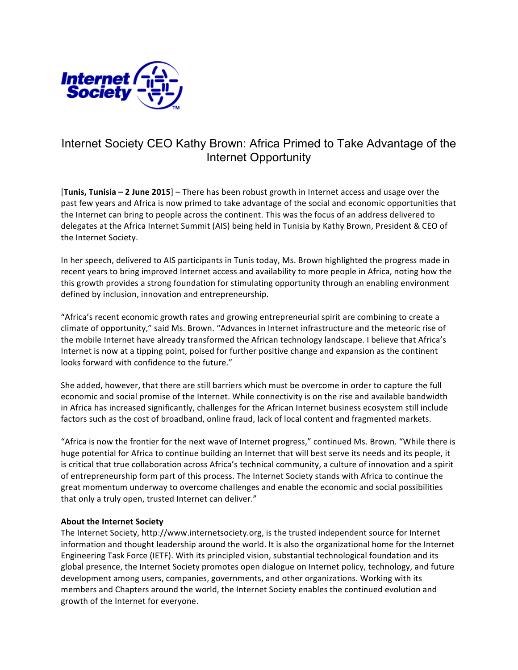

## Internet Society CEO Kathy Brown: Africa Primed to Take Advantage of the Internet Opportunity

**[Tunis, Tunisia – 2 June 2015**] – There has been robust growth in Internet access and usage over the past few years and Africa is now primed to take advantage of the social and economic opportunities that the Internet can bring to people across the continent. This was the focus of an address delivered to delegates at the Africa Internet Summit (AIS) being held in Tunisia by Kathy Brown, President & CEO of the Internet Society.

In her speech, delivered to AIS participants in Tunis today, Ms. Brown highlighted the progress made in recent years to bring improved Internet access and availability to more people in Africa, noting how the this growth provides a strong foundation for stimulating opportunity through an enabling environment defined by inclusion, innovation and entrepreneurship.

"Africa's recent economic growth rates and growing entrepreneurial spirit are combining to create a climate of opportunity," said Ms. Brown. "Advances in Internet infrastructure and the meteoric rise of the mobile Internet have already transformed the African technology landscape. I believe that Africa's Internet is now at a tipping point, poised for further positive change and expansion as the continent looks forward with confidence to the future."

She added, however, that there are still barriers which must be overcome in order to capture the full economic and social promise of the Internet. While connectivity is on the rise and available bandwidth in Africa has increased significantly, challenges for the African Internet business ecosystem still include factors such as the cost of broadband, online fraud, lack of local content and fragmented markets.

"Africa is now the frontier for the next wave of Internet progress," continued Ms. Brown. "While there is huge potential for Africa to continue building an Internet that will best serve its needs and its people, it is critical that true collaboration across Africa's technical community, a culture of innovation and a spirit of entrepreneurship form part of this process. The Internet Society stands with Africa to continue the great momentum underway to overcome challenges and enable the economic and social possibilities that only a truly open, trusted Internet can deliver."

## **About the Internet Society**

The Internet Society, http://www.internetsociety.org, is the trusted independent source for Internet information and thought leadership around the world. It is also the organizational home for the Internet Engineering Task Force (IETF). With its principled vision, substantial technological foundation and its global presence, the Internet Society promotes open dialogue on Internet policy, technology, and future development among users, companies, governments, and other organizations. Working with its members and Chapters around the world, the Internet Society enables the continued evolution and growth of the Internet for everyone.